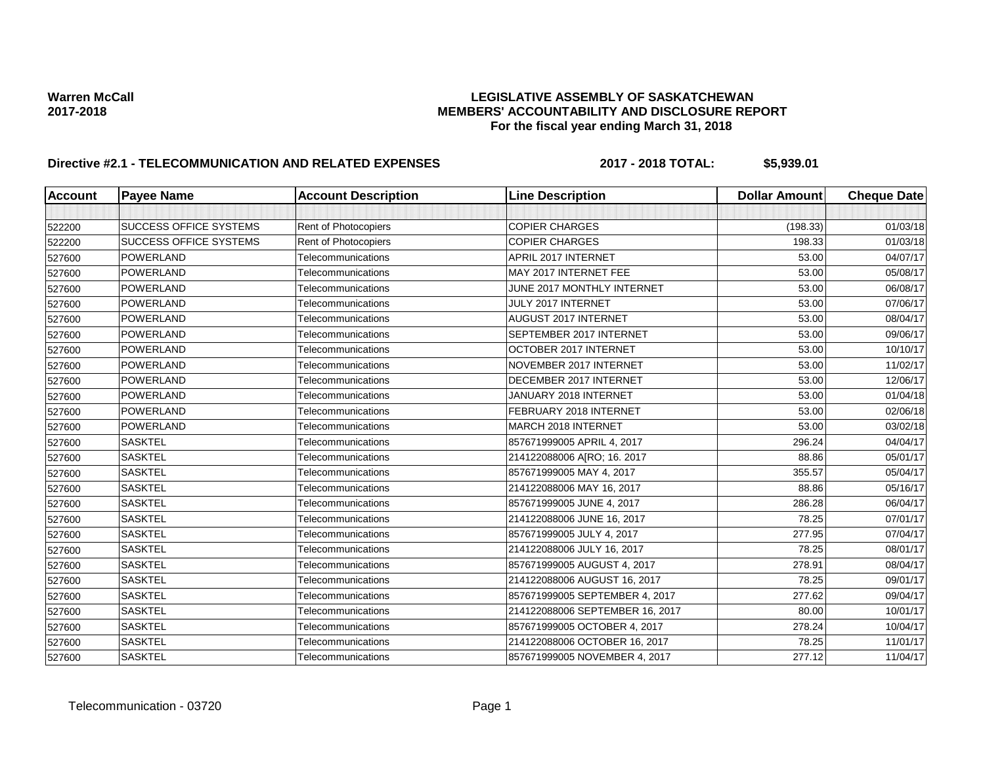## Warren McCall<br>LEGISLATIVE ASSEMBLY OF SASKATCHEWAN<br>MEMBERS' ACCOUNTABILITY AND DISCLOSURE REF **2017-2018 MEMBERS' ACCOUNTABILITY AND DISCLOSURE REPORT For the fiscal year ending March 31, 2018**

# **Directive #2.1 - TELECOMMUNICATION AND RELATED EXPENSES 2017 - 2018 TOTAL: \$5,939.01**

| <b>Account</b> | <b>Payee Name</b>             | <b>Account Description</b> | <b>Line Description</b>         | <b>Dollar Amount</b> | <b>Cheque Date</b> |
|----------------|-------------------------------|----------------------------|---------------------------------|----------------------|--------------------|
|                |                               |                            |                                 |                      |                    |
| 522200         | <b>SUCCESS OFFICE SYSTEMS</b> | Rent of Photocopiers       | <b>COPIER CHARGES</b>           | (198.33)             | 01/03/18           |
| 522200         | <b>SUCCESS OFFICE SYSTEMS</b> | Rent of Photocopiers       | <b>COPIER CHARGES</b>           | 198.33               | 01/03/18           |
| 527600         | <b>POWERLAND</b>              | Telecommunications         | APRIL 2017 INTERNET             | 53.00                | 04/07/17           |
| 527600         | <b>POWERLAND</b>              | Telecommunications         | MAY 2017 INTERNET FEE           | 53.00                | 05/08/17           |
| 527600         | <b>POWERLAND</b>              | Telecommunications         | JUNE 2017 MONTHLY INTERNET      | 53.00                | 06/08/17           |
| 527600         | <b>POWERLAND</b>              | Telecommunications         | JULY 2017 INTERNET              | 53.00                | 07/06/17           |
| 527600         | <b>POWERLAND</b>              | Telecommunications         | <b>AUGUST 2017 INTERNET</b>     | 53.00                | 08/04/17           |
| 527600         | <b>POWERLAND</b>              | Telecommunications         | SEPTEMBER 2017 INTERNET         | 53.00                | 09/06/17           |
| 527600         | <b>POWERLAND</b>              | Telecommunications         | OCTOBER 2017 INTERNET           | 53.00                | 10/10/17           |
| 527600         | <b>POWERLAND</b>              | Telecommunications         | <b>NOVEMBER 2017 INTERNET</b>   | 53.00                | 11/02/17           |
| 527600         | <b>POWERLAND</b>              | Telecommunications         | DECEMBER 2017 INTERNET          | 53.00                | 12/06/17           |
| 527600         | <b>POWERLAND</b>              | Telecommunications         | JANUARY 2018 INTERNET           | 53.00                | 01/04/18           |
| 527600         | <b>POWERLAND</b>              | Telecommunications         | FEBRUARY 2018 INTERNET          | 53.00                | 02/06/18           |
| 527600         | <b>POWERLAND</b>              | Telecommunications         | MARCH 2018 INTERNET             | 53.00                | 03/02/18           |
| 527600         | <b>SASKTEL</b>                | Telecommunications         | 857671999005 APRIL 4, 2017      | 296.24               | 04/04/17           |
| 527600         | <b>SASKTEL</b>                | Telecommunications         | 214122088006 A[RO; 16. 2017     | 88.86                | 05/01/17           |
| 527600         | <b>SASKTEL</b>                | Telecommunications         | 857671999005 MAY 4, 2017        | 355.57               | 05/04/17           |
| 527600         | <b>SASKTEL</b>                | Telecommunications         | 214122088006 MAY 16, 2017       | 88.86                | 05/16/17           |
| 527600         | <b>SASKTEL</b>                | Telecommunications         | 857671999005 JUNE 4, 2017       | 286.28               | 06/04/17           |
| 527600         | <b>SASKTEL</b>                | Telecommunications         | 214122088006 JUNE 16, 2017      | 78.25                | 07/01/17           |
| 527600         | <b>SASKTEL</b>                | Telecommunications         | 857671999005 JULY 4, 2017       | 277.95               | 07/04/17           |
| 527600         | <b>SASKTEL</b>                | Telecommunications         | 214122088006 JULY 16, 2017      | 78.25                | 08/01/17           |
| 527600         | <b>SASKTEL</b>                | Telecommunications         | 857671999005 AUGUST 4, 2017     | 278.91               | 08/04/17           |
| 527600         | <b>SASKTEL</b>                | Telecommunications         | 214122088006 AUGUST 16, 2017    | 78.25                | 09/01/17           |
| 527600         | <b>SASKTEL</b>                | Telecommunications         | 857671999005 SEPTEMBER 4, 2017  | 277.62               | 09/04/17           |
| 527600         | <b>SASKTEL</b>                | Telecommunications         | 214122088006 SEPTEMBER 16, 2017 | 80.00                | 10/01/17           |
| 527600         | <b>SASKTEL</b>                | Telecommunications         | 857671999005 OCTOBER 4, 2017    | 278.24               | 10/04/17           |
| 527600         | <b>SASKTEL</b>                | Telecommunications         | 214122088006 OCTOBER 16, 2017   | 78.25                | 11/01/17           |
| 527600         | <b>SASKTEL</b>                | Telecommunications         | 857671999005 NOVEMBER 4, 2017   | 277.12               | 11/04/17           |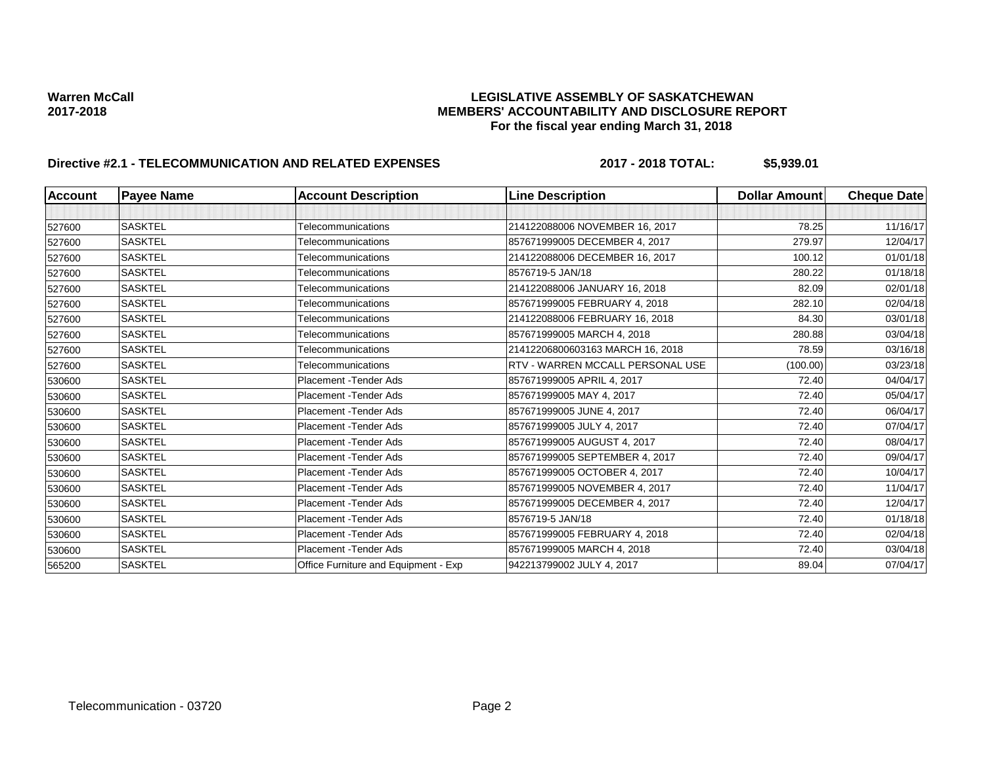## Warren McCall<br>LEGISLATIVE ASSEMBLY OF SASKATCHEWAN<br>MEMBERS' ACCOUNTABILITY AND DISCLOSURE REF **2017-2018 MEMBERS' ACCOUNTABILITY AND DISCLOSURE REPORT For the fiscal year ending March 31, 2018**

# **Directive #2.1 - TELECOMMUNICATION AND RELATED EXPENSES 2017 - 2018 TOTAL: \$5,939.01**

| <b>Account</b> | <b>Payee Name</b> | <b>Account Description</b>           | <b>Line Description</b>          | <b>Dollar Amount</b> | <b>Cheque Date</b> |
|----------------|-------------------|--------------------------------------|----------------------------------|----------------------|--------------------|
|                |                   |                                      |                                  |                      |                    |
| 527600         | <b>SASKTEL</b>    | Telecommunications                   | 214122088006 NOVEMBER 16, 2017   | 78.25                | 11/16/17           |
| 527600         | <b>SASKTEL</b>    | Telecommunications                   | 857671999005 DECEMBER 4, 2017    | 279.97               | 12/04/17           |
| 527600         | <b>SASKTEL</b>    | Telecommunications                   | 214122088006 DECEMBER 16, 2017   | 100.12               | 01/01/18           |
| 527600         | <b>SASKTEL</b>    | Telecommunications                   | 8576719-5 JAN/18                 | 280.22               | 01/18/18           |
| 527600         | <b>SASKTEL</b>    | Telecommunications                   | 214122088006 JANUARY 16, 2018    | 82.09                | 02/01/18           |
| 527600         | <b>SASKTEL</b>    | Telecommunications                   | 857671999005 FEBRUARY 4, 2018    | 282.10               | 02/04/18           |
| 527600         | <b>SASKTEL</b>    | Telecommunications                   | 214122088006 FEBRUARY 16, 2018   | 84.30                | 03/01/18           |
| 527600         | <b>SASKTEL</b>    | Telecommunications                   | 857671999005 MARCH 4, 2018       | 280.88               | 03/04/18           |
| 527600         | <b>SASKTEL</b>    | Telecommunications                   | 21412206800603163 MARCH 16, 2018 | 78.59                | 03/16/18           |
| 527600         | <b>SASKTEL</b>    | Telecommunications                   | RTV - WARREN MCCALL PERSONAL USE | (100.00)             | 03/23/18           |
| 530600         | <b>SASKTEL</b>    | Placement - Tender Ads               | 857671999005 APRIL 4, 2017       | 72.40                | 04/04/17           |
| 530600         | <b>SASKTEL</b>    | <b>Placement - Tender Ads</b>        | 857671999005 MAY 4, 2017         | 72.40                | 05/04/17           |
| 530600         | <b>SASKTEL</b>    | <b>Placement - Tender Ads</b>        | 857671999005 JUNE 4, 2017        | 72.40                | 06/04/17           |
| 530600         | <b>SASKTEL</b>    | <b>Placement - Tender Ads</b>        | 857671999005 JULY 4, 2017        | 72.40                | 07/04/17           |
| 530600         | <b>SASKTEL</b>    | <b>Placement - Tender Ads</b>        | 857671999005 AUGUST 4, 2017      | 72.40                | 08/04/17           |
| 530600         | <b>SASKTEL</b>    | <b>Placement - Tender Ads</b>        | 857671999005 SEPTEMBER 4, 2017   | 72.40                | 09/04/17           |
| 530600         | <b>SASKTEL</b>    | <b>Placement - Tender Ads</b>        | 857671999005 OCTOBER 4, 2017     | 72.40                | 10/04/17           |
| 530600         | <b>SASKTEL</b>    | <b>Placement - Tender Ads</b>        | 857671999005 NOVEMBER 4, 2017    | 72.40                | 11/04/17           |
| 530600         | <b>SASKTEL</b>    | <b>Placement - Tender Ads</b>        | 857671999005 DECEMBER 4, 2017    | 72.40                | 12/04/17           |
| 530600         | <b>SASKTEL</b>    | <b>Placement - Tender Ads</b>        | 8576719-5 JAN/18                 | 72.40                | 01/18/18           |
| 530600         | <b>SASKTEL</b>    | <b>Placement - Tender Ads</b>        | 857671999005 FEBRUARY 4, 2018    | 72.40                | 02/04/18           |
| 530600         | <b>SASKTEL</b>    | <b>Placement - Tender Ads</b>        | 857671999005 MARCH 4, 2018       | 72.40                | 03/04/18           |
| 565200         | <b>SASKTEL</b>    | Office Furniture and Equipment - Exp | 942213799002 JULY 4, 2017        | 89.04                | 07/04/17           |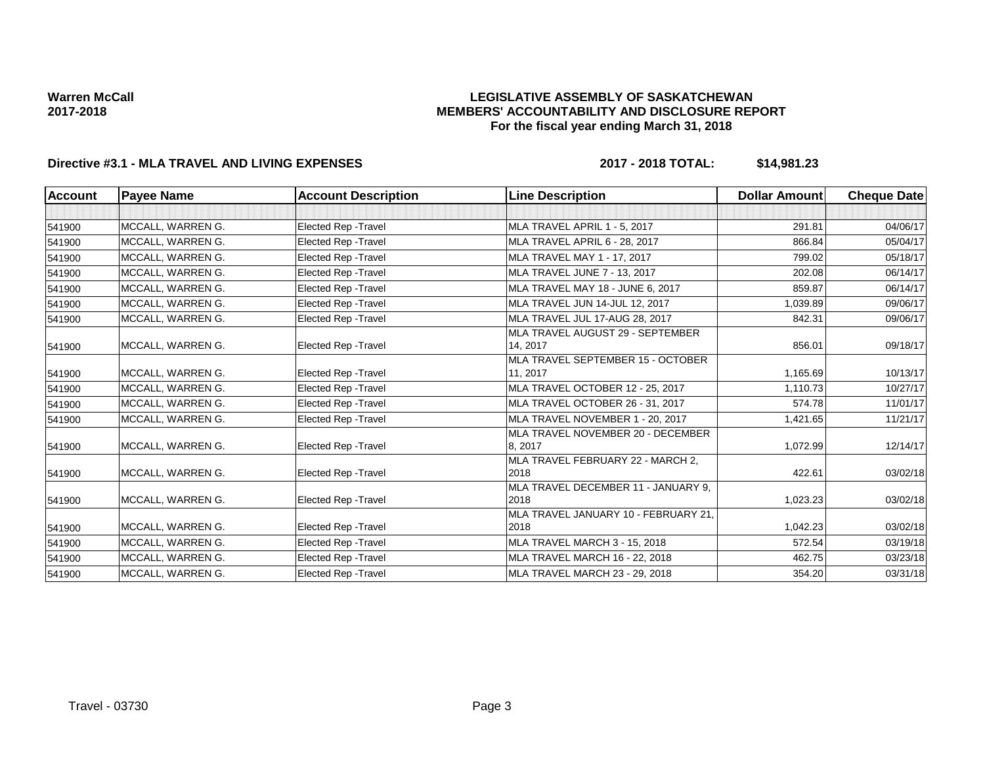## **LEGISLATIVE ASSEMBLY OF SASKATCHEWAN MEMBERS' ACCOUNTABILITY AND DISCLOSURE REPORT For the fiscal year ending March 31, 2018**

# **Directive #3.1 - MLA TRAVEL AND LIVING EXPENSES 2017 - 2018 TOTAL: \$14,981.23**

| Account | <b>Payee Name</b> | <b>Account Description</b>  | <b>Line Description</b>                      | Dollar Amount | <b>Cheque Date</b> |
|---------|-------------------|-----------------------------|----------------------------------------------|---------------|--------------------|
|         |                   |                             |                                              |               |                    |
| 541900  | MCCALL, WARREN G. | <b>Elected Rep - Travel</b> | MLA TRAVEL APRIL 1 - 5, 2017                 | 291.81        | 04/06/17           |
| 541900  | MCCALL, WARREN G. | <b>Elected Rep - Travel</b> | MLA TRAVEL APRIL 6 - 28, 2017                | 866.84        | 05/04/17           |
| 541900  | MCCALL, WARREN G. | <b>Elected Rep - Travel</b> | MLA TRAVEL MAY 1 - 17, 2017                  | 799.02        | 05/18/17           |
| 541900  | MCCALL, WARREN G. | <b>Elected Rep - Travel</b> | MLA TRAVEL JUNE 7 - 13, 2017                 | 202.08        | 06/14/17           |
| 541900  | MCCALL, WARREN G. | <b>Elected Rep - Travel</b> | MLA TRAVEL MAY 18 - JUNE 6, 2017             | 859.87        | 06/14/17           |
| 541900  | MCCALL, WARREN G. | Elected Rep - Travel        | MLA TRAVEL JUN 14-JUL 12, 2017               | 1,039.89      | 09/06/17           |
| 541900  | MCCALL, WARREN G. | Elected Rep - Travel        | MLA TRAVEL JUL 17-AUG 28, 2017               | 842.31        | 09/06/17           |
| 541900  | MCCALL, WARREN G. | <b>Elected Rep - Travel</b> | MLA TRAVEL AUGUST 29 - SEPTEMBER<br>14, 2017 | 856.01        | 09/18/17           |
|         |                   |                             | MLA TRAVEL SEPTEMBER 15 - OCTOBER            |               |                    |
| 541900  | MCCALL, WARREN G. | <b>Elected Rep - Travel</b> | 11, 2017                                     | 1,165.69      | 10/13/17           |
| 541900  | MCCALL, WARREN G. | <b>Elected Rep - Travel</b> | MLA TRAVEL OCTOBER 12 - 25, 2017             | 1,110.73      | 10/27/17           |
| 541900  | MCCALL, WARREN G. | <b>Elected Rep - Travel</b> | MLA TRAVEL OCTOBER 26 - 31, 2017             | 574.78        | 11/01/17           |
| 541900  | MCCALL, WARREN G. | <b>Elected Rep - Travel</b> | MLA TRAVEL NOVEMBER 1 - 20, 2017             | 1,421.65      | 11/21/17           |
| 541900  | MCCALL, WARREN G. | <b>Elected Rep - Travel</b> | MLA TRAVEL NOVEMBER 20 - DECEMBER<br>8, 2017 | 1,072.99      | 12/14/17           |
| 541900  | MCCALL, WARREN G. | <b>Elected Rep - Travel</b> | MLA TRAVEL FEBRUARY 22 - MARCH 2.<br>2018    | 422.61        | 03/02/18           |
| 541900  | MCCALL, WARREN G. | <b>Elected Rep - Travel</b> | MLA TRAVEL DECEMBER 11 - JANUARY 9,<br>2018  | 1,023.23      | 03/02/18           |
| 541900  | MCCALL, WARREN G. | Elected Rep - Travel        | MLA TRAVEL JANUARY 10 - FEBRUARY 21.<br>2018 | 1,042.23      | 03/02/18           |
| 541900  | MCCALL, WARREN G. | Elected Rep - Travel        | MLA TRAVEL MARCH 3 - 15, 2018                | 572.54        | 03/19/18           |
| 541900  | MCCALL, WARREN G. | Elected Rep - Travel        | MLA TRAVEL MARCH 16 - 22, 2018               | 462.75        | 03/23/18           |
| 541900  | MCCALL, WARREN G. | <b>Elected Rep - Travel</b> | <b>MLA TRAVEL MARCH 23 - 29, 2018</b>        | 354.20        | 03/31/18           |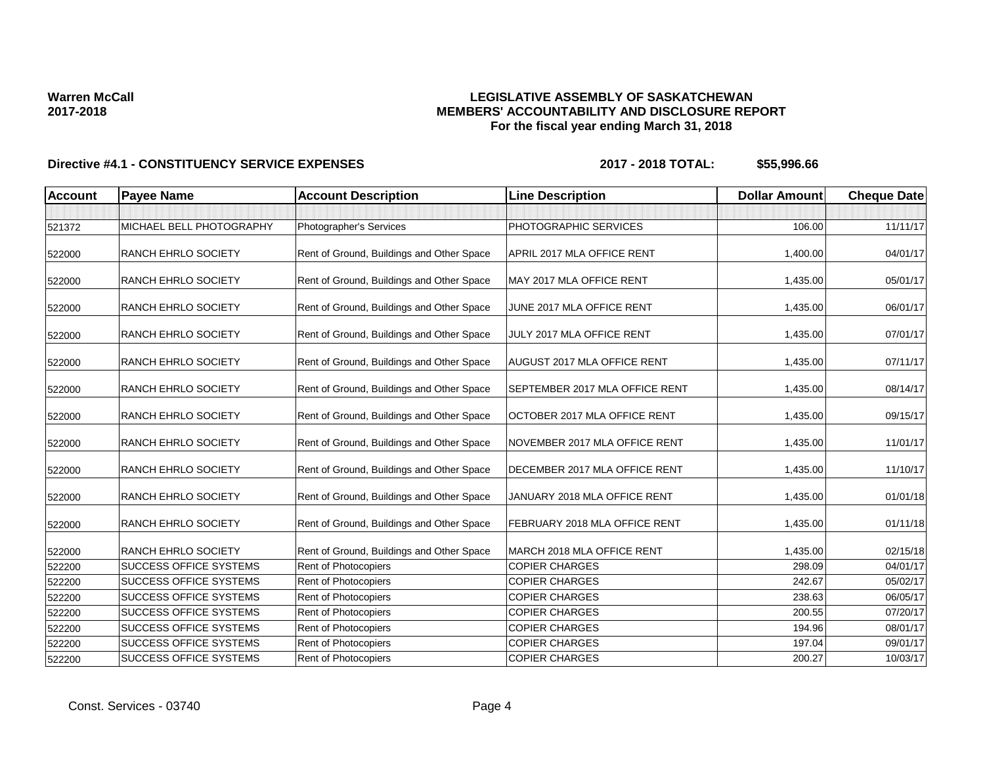# **LEGISLATIVE ASSEMBLY OF SASKATCHEWAN MEMBERS' ACCOUNTABILITY AND DISCLOSURE REPORT For the fiscal year ending March 31, 2018**

| <b>Account</b> | <b>Payee Name</b>             | <b>Account Description</b>                | <b>Line Description</b>        | <b>Dollar Amount</b> | <b>Cheque Date</b> |
|----------------|-------------------------------|-------------------------------------------|--------------------------------|----------------------|--------------------|
|                |                               |                                           |                                |                      |                    |
| 521372         | MICHAEL BELL PHOTOGRAPHY      | Photographer's Services                   | PHOTOGRAPHIC SERVICES          | 106.00               | 11/11/17           |
| 522000         | <b>RANCH EHRLO SOCIETY</b>    | Rent of Ground, Buildings and Other Space | APRIL 2017 MLA OFFICE RENT     | 1,400.00             | 04/01/17           |
| 522000         | <b>RANCH EHRLO SOCIETY</b>    | Rent of Ground, Buildings and Other Space | MAY 2017 MLA OFFICE RENT       | 1,435.00             | 05/01/17           |
| 522000         | RANCH EHRLO SOCIETY           | Rent of Ground, Buildings and Other Space | JUNE 2017 MLA OFFICE RENT      | 1,435.00             | 06/01/17           |
| 522000         | <b>RANCH EHRLO SOCIETY</b>    | Rent of Ground, Buildings and Other Space | JULY 2017 MLA OFFICE RENT      | 1,435.00             | 07/01/17           |
| 522000         | <b>RANCH EHRLO SOCIETY</b>    | Rent of Ground, Buildings and Other Space | AUGUST 2017 MLA OFFICE RENT    | 1,435.00             | 07/11/17           |
| 522000         | <b>RANCH EHRLO SOCIETY</b>    | Rent of Ground, Buildings and Other Space | SEPTEMBER 2017 MLA OFFICE RENT | 1,435.00             | 08/14/17           |
| 522000         | <b>RANCH EHRLO SOCIETY</b>    | Rent of Ground, Buildings and Other Space | OCTOBER 2017 MLA OFFICE RENT   | 1,435.00             | 09/15/17           |
| 522000         | <b>RANCH EHRLO SOCIETY</b>    | Rent of Ground, Buildings and Other Space | NOVEMBER 2017 MLA OFFICE RENT  | 1,435.00             | 11/01/17           |
| 522000         | <b>RANCH EHRLO SOCIETY</b>    | Rent of Ground, Buildings and Other Space | DECEMBER 2017 MLA OFFICE RENT  | 1,435.00             | 11/10/17           |
| 522000         | <b>RANCH EHRLO SOCIETY</b>    | Rent of Ground, Buildings and Other Space | JANUARY 2018 MLA OFFICE RENT   | 1,435.00             | 01/01/18           |
| 522000         | <b>RANCH EHRLO SOCIETY</b>    | Rent of Ground, Buildings and Other Space | FEBRUARY 2018 MLA OFFICE RENT  | 1,435.00             | 01/11/18           |
| 522000         | <b>RANCH EHRLO SOCIETY</b>    | Rent of Ground, Buildings and Other Space | MARCH 2018 MLA OFFICE RENT     | 1,435.00             | 02/15/18           |
| 522200         | <b>SUCCESS OFFICE SYSTEMS</b> | Rent of Photocopiers                      | <b>COPIER CHARGES</b>          | 298.09               | 04/01/17           |
| 522200         | <b>SUCCESS OFFICE SYSTEMS</b> | Rent of Photocopiers                      | <b>COPIER CHARGES</b>          | 242.67               | 05/02/17           |
| 522200         | <b>SUCCESS OFFICE SYSTEMS</b> | Rent of Photocopiers                      | <b>COPIER CHARGES</b>          | 238.63               | 06/05/17           |
| 522200         | <b>SUCCESS OFFICE SYSTEMS</b> | Rent of Photocopiers                      | <b>COPIER CHARGES</b>          | 200.55               | 07/20/17           |
| 522200         | <b>SUCCESS OFFICE SYSTEMS</b> | Rent of Photocopiers                      | <b>COPIER CHARGES</b>          | 194.96               | 08/01/17           |
| 522200         | <b>SUCCESS OFFICE SYSTEMS</b> | Rent of Photocopiers                      | <b>COPIER CHARGES</b>          | 197.04               | 09/01/17           |
| 522200         | <b>SUCCESS OFFICE SYSTEMS</b> | Rent of Photocopiers                      | <b>COPIER CHARGES</b>          | 200.27               | 10/03/17           |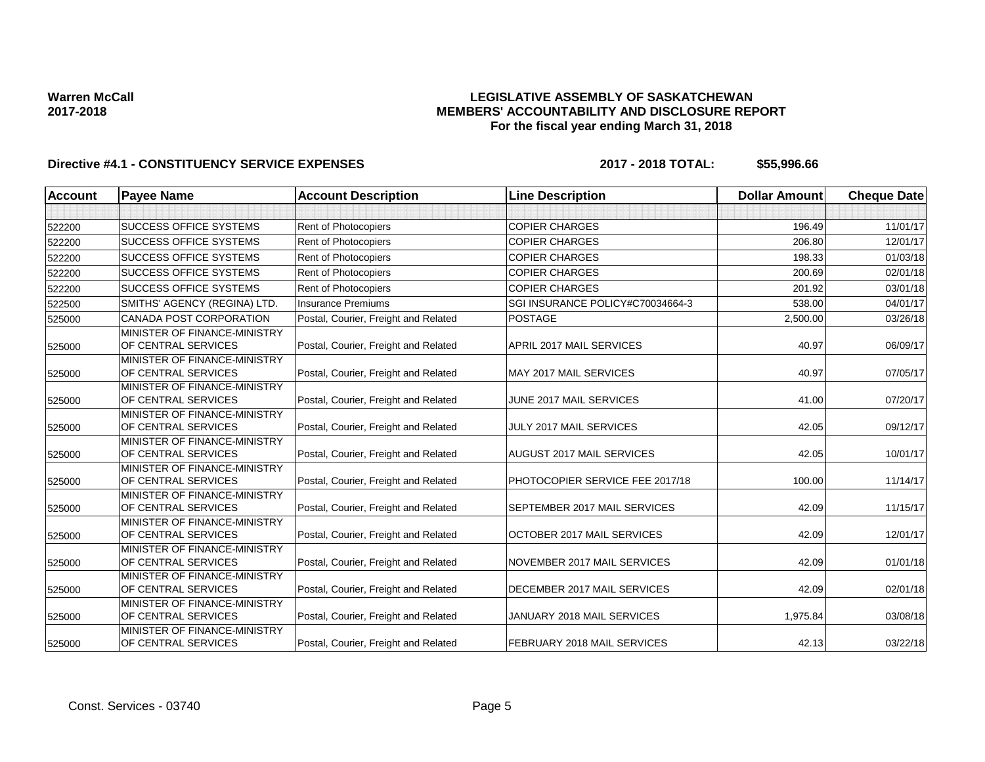## **LEGISLATIVE ASSEMBLY OF SASKATCHEWAN MEMBERS' ACCOUNTABILITY AND DISCLOSURE REPORT For the fiscal year ending March 31, 2018**

| Account | <b>Payee Name</b>                                   | <b>Account Description</b>           | <b>Line Description</b>            | <b>Dollar Amount</b> | <b>Cheque Date</b> |
|---------|-----------------------------------------------------|--------------------------------------|------------------------------------|----------------------|--------------------|
|         |                                                     |                                      |                                    |                      |                    |
| 522200  | <b>SUCCESS OFFICE SYSTEMS</b>                       | Rent of Photocopiers                 | <b>COPIER CHARGES</b>              | 196.49               | 11/01/17           |
| 522200  | <b>SUCCESS OFFICE SYSTEMS</b>                       | <b>Rent of Photocopiers</b>          | <b>COPIER CHARGES</b>              | 206.80               | 12/01/17           |
| 522200  | <b>SUCCESS OFFICE SYSTEMS</b>                       | Rent of Photocopiers                 | <b>COPIER CHARGES</b>              | 198.33               | 01/03/18           |
| 522200  | <b>SUCCESS OFFICE SYSTEMS</b>                       | <b>Rent of Photocopiers</b>          | <b>COPIER CHARGES</b>              | 200.69               | 02/01/18           |
| 522200  | <b>SUCCESS OFFICE SYSTEMS</b>                       | Rent of Photocopiers                 | <b>COPIER CHARGES</b>              | 201.92               | 03/01/18           |
| 522500  | SMITHS' AGENCY (REGINA) LTD.                        | <b>Insurance Premiums</b>            | SGI INSURANCE POLICY#C70034664-3   | 538.00               | 04/01/17           |
| 525000  | CANADA POST CORPORATION                             | Postal, Courier, Freight and Related | <b>POSTAGE</b>                     | 2,500.00             | 03/26/18           |
| 525000  | MINISTER OF FINANCE-MINISTRY<br>OF CENTRAL SERVICES | Postal, Courier, Freight and Related | APRIL 2017 MAIL SERVICES           | 40.97                | 06/09/17           |
| 525000  | MINISTER OF FINANCE-MINISTRY<br>OF CENTRAL SERVICES | Postal, Courier, Freight and Related | MAY 2017 MAIL SERVICES             | 40.97                | 07/05/17           |
| 525000  | MINISTER OF FINANCE-MINISTRY<br>OF CENTRAL SERVICES | Postal, Courier, Freight and Related | JUNE 2017 MAIL SERVICES            | 41.00                | 07/20/17           |
| 525000  | MINISTER OF FINANCE-MINISTRY<br>OF CENTRAL SERVICES | Postal, Courier, Freight and Related | JULY 2017 MAIL SERVICES            | 42.05                | 09/12/17           |
| 525000  | MINISTER OF FINANCE-MINISTRY<br>OF CENTRAL SERVICES | Postal, Courier, Freight and Related | <b>AUGUST 2017 MAIL SERVICES</b>   | 42.05                | 10/01/17           |
| 525000  | MINISTER OF FINANCE-MINISTRY<br>OF CENTRAL SERVICES | Postal, Courier, Freight and Related | PHOTOCOPIER SERVICE FEE 2017/18    | 100.00               | 11/14/17           |
| 525000  | MINISTER OF FINANCE-MINISTRY<br>OF CENTRAL SERVICES | Postal, Courier, Freight and Related | SEPTEMBER 2017 MAIL SERVICES       | 42.09                | 11/15/17           |
| 525000  | MINISTER OF FINANCE-MINISTRY<br>OF CENTRAL SERVICES | Postal, Courier, Freight and Related | OCTOBER 2017 MAIL SERVICES         | 42.09                | 12/01/17           |
| 525000  | MINISTER OF FINANCE-MINISTRY<br>OF CENTRAL SERVICES | Postal, Courier, Freight and Related | NOVEMBER 2017 MAIL SERVICES        | 42.09                | 01/01/18           |
| 525000  | MINISTER OF FINANCE-MINISTRY<br>OF CENTRAL SERVICES | Postal, Courier, Freight and Related | DECEMBER 2017 MAIL SERVICES        | 42.09                | 02/01/18           |
| 525000  | MINISTER OF FINANCE-MINISTRY<br>OF CENTRAL SERVICES | Postal, Courier, Freight and Related | JANUARY 2018 MAIL SERVICES         | 1,975.84             | 03/08/18           |
| 525000  | MINISTER OF FINANCE-MINISTRY<br>OF CENTRAL SERVICES | Postal, Courier, Freight and Related | <b>FEBRUARY 2018 MAIL SERVICES</b> | 42.13                | 03/22/18           |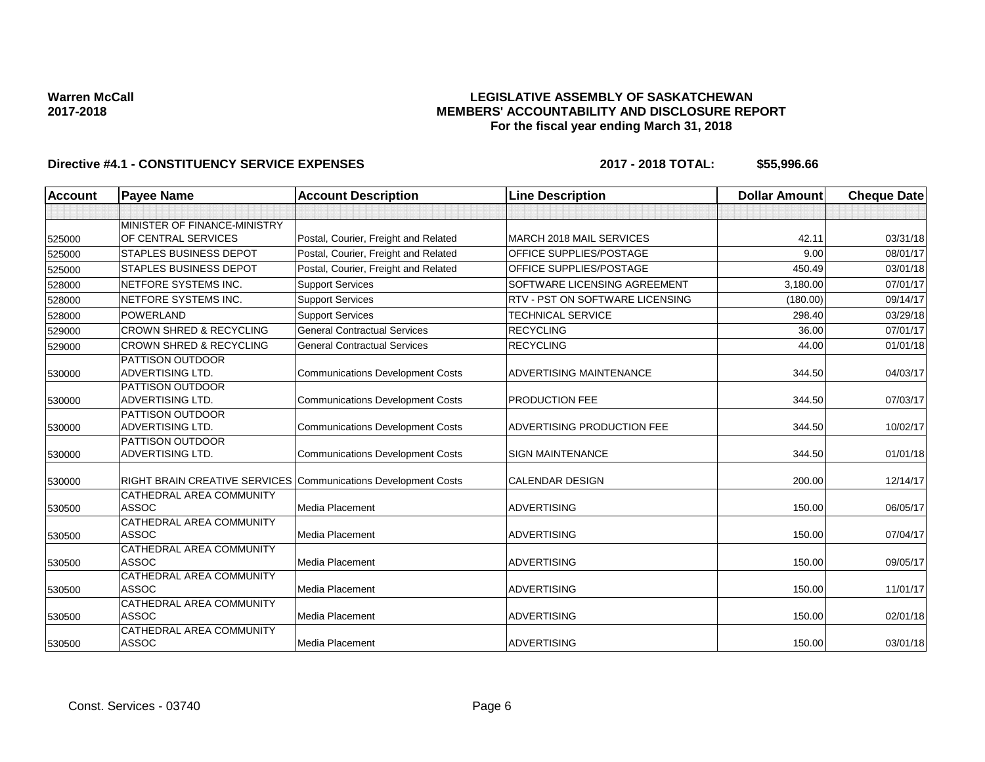## **LEGISLATIVE ASSEMBLY OF SASKATCHEWAN MEMBERS' ACCOUNTABILITY AND DISCLOSURE REPORT For the fiscal year ending March 31, 2018**

| <b>Account</b> | <b>Payee Name</b>                                              | <b>Account Description</b>              | <b>Line Description</b>         | <b>Dollar Amount</b> | <b>Cheque Date</b> |
|----------------|----------------------------------------------------------------|-----------------------------------------|---------------------------------|----------------------|--------------------|
|                |                                                                |                                         |                                 |                      |                    |
|                | MINISTER OF FINANCE-MINISTRY                                   |                                         |                                 |                      |                    |
| 525000         | OF CENTRAL SERVICES                                            | Postal, Courier, Freight and Related    | MARCH 2018 MAIL SERVICES        | 42.11                | 03/31/18           |
| 525000         | <b>STAPLES BUSINESS DEPOT</b>                                  | Postal, Courier, Freight and Related    | OFFICE SUPPLIES/POSTAGE         | 9.00                 | 08/01/17           |
| 525000         | <b>STAPLES BUSINESS DEPOT</b>                                  | Postal, Courier, Freight and Related    | OFFICE SUPPLIES/POSTAGE         | 450.49               | 03/01/18           |
| 528000         | NETFORE SYSTEMS INC.                                           | <b>Support Services</b>                 | SOFTWARE LICENSING AGREEMENT    | 3,180.00             | 07/01/17           |
| 528000         | NETFORE SYSTEMS INC.                                           | <b>Support Services</b>                 | RTV - PST ON SOFTWARE LICENSING | (180.00)             | 09/14/17           |
| 528000         | <b>POWERLAND</b>                                               | <b>Support Services</b>                 | <b>TECHNICAL SERVICE</b>        | 298.40               | 03/29/18           |
| 529000         | <b>CROWN SHRED &amp; RECYCLING</b>                             | <b>General Contractual Services</b>     | <b>RECYCLING</b>                | 36.00                | 07/01/17           |
| 529000         | <b>CROWN SHRED &amp; RECYCLING</b>                             | <b>General Contractual Services</b>     | <b>RECYCLING</b>                | 44.00                | 01/01/18           |
|                | <b>PATTISON OUTDOOR</b><br>ADVERTISING LTD.                    | <b>Communications Development Costs</b> | ADVERTISING MAINTENANCE         | 344.50               | 04/03/17           |
| 530000         | <b>PATTISON OUTDOOR</b>                                        |                                         |                                 |                      |                    |
| 530000         | ADVERTISING LTD.                                               | <b>Communications Development Costs</b> | PRODUCTION FEE                  | 344.50               | 07/03/17           |
|                | PATTISON OUTDOOR                                               |                                         |                                 |                      |                    |
| 530000         | ADVERTISING LTD.                                               | <b>Communications Development Costs</b> | ADVERTISING PRODUCTION FEE      | 344.50               | 10/02/17           |
|                | PATTISON OUTDOOR                                               |                                         |                                 |                      |                    |
| 530000         | ADVERTISING LTD.                                               | <b>Communications Development Costs</b> | <b>SIGN MAINTENANCE</b>         | 344.50               | 01/01/18           |
| 530000         | RIGHT BRAIN CREATIVE SERVICES Communications Development Costs |                                         | <b>CALENDAR DESIGN</b>          | 200.00               | 12/14/17           |
|                | <b>CATHEDRAL AREA COMMUNITY</b>                                |                                         |                                 |                      |                    |
| 530500         | <b>ASSOC</b>                                                   | Media Placement                         | <b>ADVERTISING</b>              | 150.00               | 06/05/17           |
| 530500         | CATHEDRAL AREA COMMUNITY<br><b>ASSOC</b>                       | <b>Media Placement</b>                  | <b>ADVERTISING</b>              | 150.00               | 07/04/17           |
|                | CATHEDRAL AREA COMMUNITY                                       |                                         |                                 |                      |                    |
| 530500         | <b>ASSOC</b>                                                   | Media Placement                         | <b>ADVERTISING</b>              | 150.00               | 09/05/17           |
|                | CATHEDRAL AREA COMMUNITY                                       |                                         |                                 |                      |                    |
| 530500         | <b>ASSOC</b>                                                   | Media Placement                         | <b>ADVERTISING</b>              | 150.00               | 11/01/17           |
|                | CATHEDRAL AREA COMMUNITY                                       |                                         |                                 |                      |                    |
| 530500         | <b>ASSOC</b>                                                   | Media Placement                         | <b>ADVERTISING</b>              | 150.00               | 02/01/18           |
| 530500         | CATHEDRAL AREA COMMUNITY<br><b>ASSOC</b>                       | <b>Media Placement</b>                  | <b>ADVERTISING</b>              | 150.00               | 03/01/18           |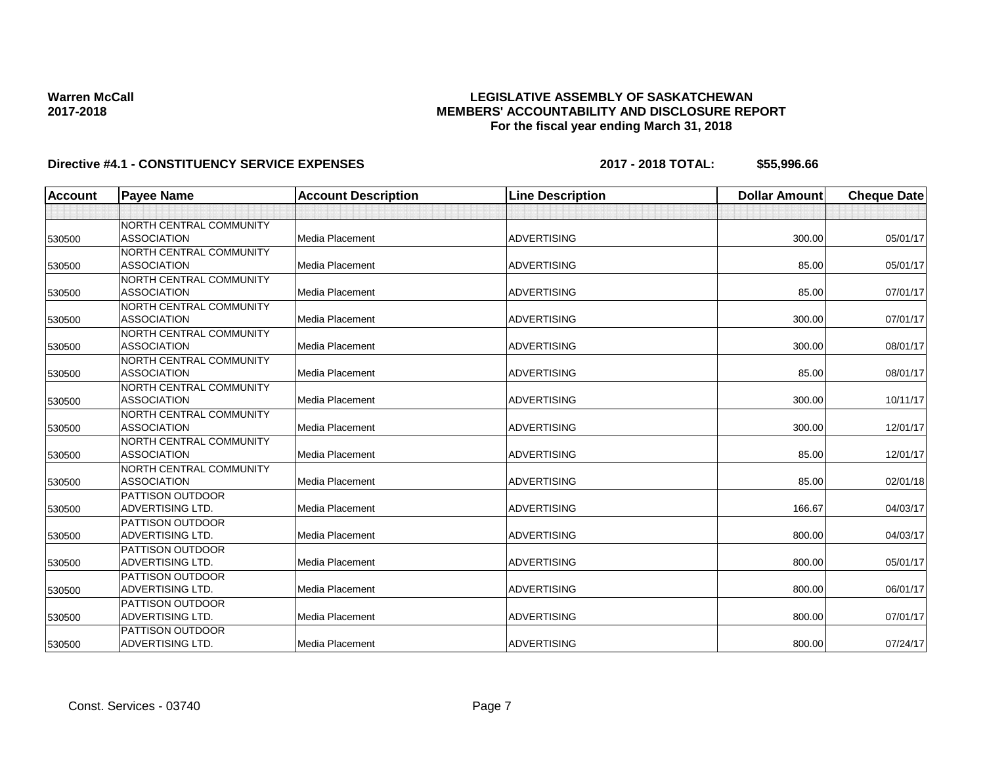## **LEGISLATIVE ASSEMBLY OF SASKATCHEWAN MEMBERS' ACCOUNTABILITY AND DISCLOSURE REPORT For the fiscal year ending March 31, 2018**

| <b>Account</b> | <b>Payee Name</b>       | <b>Account Description</b> | <b>Line Description</b> | <b>Dollar Amount</b> | <b>Cheque Date</b> |
|----------------|-------------------------|----------------------------|-------------------------|----------------------|--------------------|
|                |                         |                            |                         |                      |                    |
|                | NORTH CENTRAL COMMUNITY |                            |                         |                      |                    |
| 530500         | <b>ASSOCIATION</b>      | <b>Media Placement</b>     | <b>ADVERTISING</b>      | 300.00               | 05/01/17           |
|                | NORTH CENTRAL COMMUNITY |                            |                         |                      |                    |
| 530500         | <b>ASSOCIATION</b>      | Media Placement            | <b>ADVERTISING</b>      | 85.00                | 05/01/17           |
|                | NORTH CENTRAL COMMUNITY |                            |                         |                      |                    |
| 530500         | <b>ASSOCIATION</b>      | Media Placement            | <b>ADVERTISING</b>      | 85.00                | 07/01/17           |
|                | NORTH CENTRAL COMMUNITY |                            |                         |                      |                    |
| 530500         | <b>ASSOCIATION</b>      | Media Placement            | <b>ADVERTISING</b>      | 300.00               | 07/01/17           |
|                | NORTH CENTRAL COMMUNITY |                            |                         |                      |                    |
| 530500         | <b>ASSOCIATION</b>      | Media Placement            | <b>ADVERTISING</b>      | 300.00               | 08/01/17           |
|                | NORTH CENTRAL COMMUNITY |                            |                         |                      |                    |
| 530500         | <b>ASSOCIATION</b>      | Media Placement            | <b>ADVERTISING</b>      | 85.00                | 08/01/17           |
|                | NORTH CENTRAL COMMUNITY |                            |                         |                      |                    |
| 530500         | <b>ASSOCIATION</b>      | Media Placement            | <b>ADVERTISING</b>      | 300.00               | 10/11/17           |
|                | NORTH CENTRAL COMMUNITY |                            |                         |                      |                    |
| 530500         | <b>ASSOCIATION</b>      | Media Placement            | <b>ADVERTISING</b>      | 300.00               | 12/01/17           |
|                | NORTH CENTRAL COMMUNITY |                            |                         |                      |                    |
| 530500         | <b>ASSOCIATION</b>      | Media Placement            | <b>ADVERTISING</b>      | 85.00                | 12/01/17           |
|                | NORTH CENTRAL COMMUNITY |                            |                         |                      |                    |
| 530500         | <b>ASSOCIATION</b>      | Media Placement            | <b>ADVERTISING</b>      | 85.00                | 02/01/18           |
|                | <b>PATTISON OUTDOOR</b> |                            |                         |                      |                    |
| 530500         | <b>ADVERTISING LTD.</b> | Media Placement            | <b>ADVERTISING</b>      | 166.67               | 04/03/17           |
|                | <b>PATTISON OUTDOOR</b> |                            |                         |                      |                    |
| 530500         | ADVERTISING LTD.        | Media Placement            | <b>ADVERTISING</b>      | 800.00               | 04/03/17           |
|                | <b>PATTISON OUTDOOR</b> |                            |                         |                      |                    |
| 530500         | ADVERTISING LTD.        | Media Placement            | <b>ADVERTISING</b>      | 800.00               | 05/01/17           |
|                | <b>PATTISON OUTDOOR</b> |                            |                         |                      |                    |
| 530500         | ADVERTISING LTD.        | Media Placement            | <b>ADVERTISING</b>      | 800.00               | 06/01/17           |
|                | <b>PATTISON OUTDOOR</b> |                            |                         |                      |                    |
| 530500         | <b>ADVERTISING LTD.</b> | Media Placement            | <b>ADVERTISING</b>      | 800.00               | 07/01/17           |
|                | <b>PATTISON OUTDOOR</b> |                            |                         |                      |                    |
| 530500         | ADVERTISING LTD.        | Media Placement            | <b>ADVERTISING</b>      | 800.00               | 07/24/17           |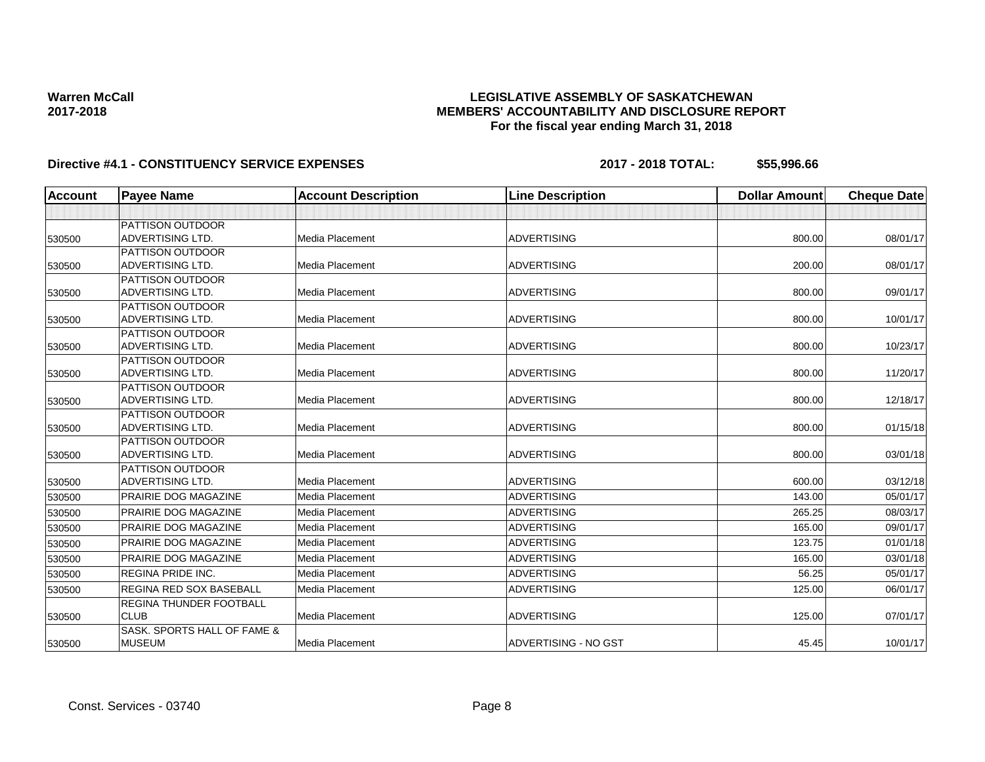## **LEGISLATIVE ASSEMBLY OF SASKATCHEWAN MEMBERS' ACCOUNTABILITY AND DISCLOSURE REPORT For the fiscal year ending March 31, 2018**

| <b>Account</b> | <b>Payee Name</b>                                  | <b>Account Description</b> | <b>Line Description</b> | <b>Dollar Amount</b> | <b>Cheque Date</b> |
|----------------|----------------------------------------------------|----------------------------|-------------------------|----------------------|--------------------|
|                |                                                    |                            |                         |                      |                    |
|                | <b>PATTISON OUTDOOR</b>                            |                            |                         |                      |                    |
| 530500         | <b>ADVERTISING LTD.</b>                            | Media Placement            | <b>ADVERTISING</b>      | 800.00               | 08/01/17           |
|                | <b>PATTISON OUTDOOR</b>                            |                            |                         |                      |                    |
| 530500         | <b>ADVERTISING LTD.</b>                            | Media Placement            | <b>ADVERTISING</b>      | 200.00               | 08/01/17           |
|                | PATTISON OUTDOOR                                   |                            |                         |                      |                    |
| 530500         | <b>ADVERTISING LTD.</b>                            | Media Placement            | <b>ADVERTISING</b>      | 800.00               | 09/01/17           |
|                | <b>PATTISON OUTDOOR</b>                            |                            |                         |                      |                    |
| 530500         | <b>ADVERTISING LTD.</b>                            | Media Placement            | <b>ADVERTISING</b>      | 800.00               | 10/01/17           |
|                | PATTISON OUTDOOR                                   |                            |                         |                      |                    |
| 530500         | <b>ADVERTISING LTD.</b>                            | Media Placement            | <b>ADVERTISING</b>      | 800.00               | 10/23/17           |
|                | <b>PATTISON OUTDOOR</b>                            |                            |                         |                      |                    |
| 530500         | <b>ADVERTISING LTD.</b>                            | Media Placement            | <b>ADVERTISING</b>      | 800.00               | 11/20/17           |
|                | <b>PATTISON OUTDOOR</b>                            |                            |                         |                      |                    |
| 530500         | <b>ADVERTISING LTD.</b>                            | Media Placement            | <b>ADVERTISING</b>      | 800.00               | 12/18/17           |
|                | <b>PATTISON OUTDOOR</b>                            |                            |                         |                      |                    |
| 530500         | <b>ADVERTISING LTD.</b>                            | <b>Media Placement</b>     | <b>ADVERTISING</b>      | 800.00               | 01/15/18           |
|                | <b>PATTISON OUTDOOR</b>                            |                            |                         |                      |                    |
| 530500         | <b>ADVERTISING LTD.</b>                            | Media Placement            | <b>ADVERTISING</b>      | 800.00               | 03/01/18           |
|                | <b>PATTISON OUTDOOR</b><br><b>ADVERTISING LTD.</b> | Media Placement            | <b>ADVERTISING</b>      | 600.00               | 03/12/18           |
| 530500         |                                                    |                            |                         |                      |                    |
| 530500         | PRAIRIE DOG MAGAZINE                               | Media Placement            | <b>ADVERTISING</b>      | 143.00               | 05/01/17           |
| 530500         | <b>PRAIRIE DOG MAGAZINE</b>                        | Media Placement            | <b>ADVERTISING</b>      | 265.25               | 08/03/17           |
| 530500         | PRAIRIE DOG MAGAZINE                               | Media Placement            | <b>ADVERTISING</b>      | 165.00               | 09/01/17           |
| 530500         | <b>PRAIRIE DOG MAGAZINE</b>                        | Media Placement            | <b>ADVERTISING</b>      | 123.75               | 01/01/18           |
| 530500         | <b>PRAIRIE DOG MAGAZINE</b>                        | Media Placement            | <b>ADVERTISING</b>      | 165.00               | 03/01/18           |
| 530500         | <b>REGINA PRIDE INC.</b>                           | Media Placement            | <b>ADVERTISING</b>      | 56.25                | 05/01/17           |
| 530500         | <b>REGINA RED SOX BASEBALL</b>                     | <b>Media Placement</b>     | <b>ADVERTISING</b>      | 125.00               | 06/01/17           |
|                | <b>REGINA THUNDER FOOTBALL</b>                     |                            |                         |                      |                    |
| 530500         | <b>CLUB</b>                                        | Media Placement            | <b>ADVERTISING</b>      | 125.00               | 07/01/17           |
|                | SASK, SPORTS HALL OF FAME &                        |                            |                         |                      |                    |
| 530500         | <b>MUSEUM</b>                                      | Media Placement            | ADVERTISING - NO GST    | 45.45                | 10/01/17           |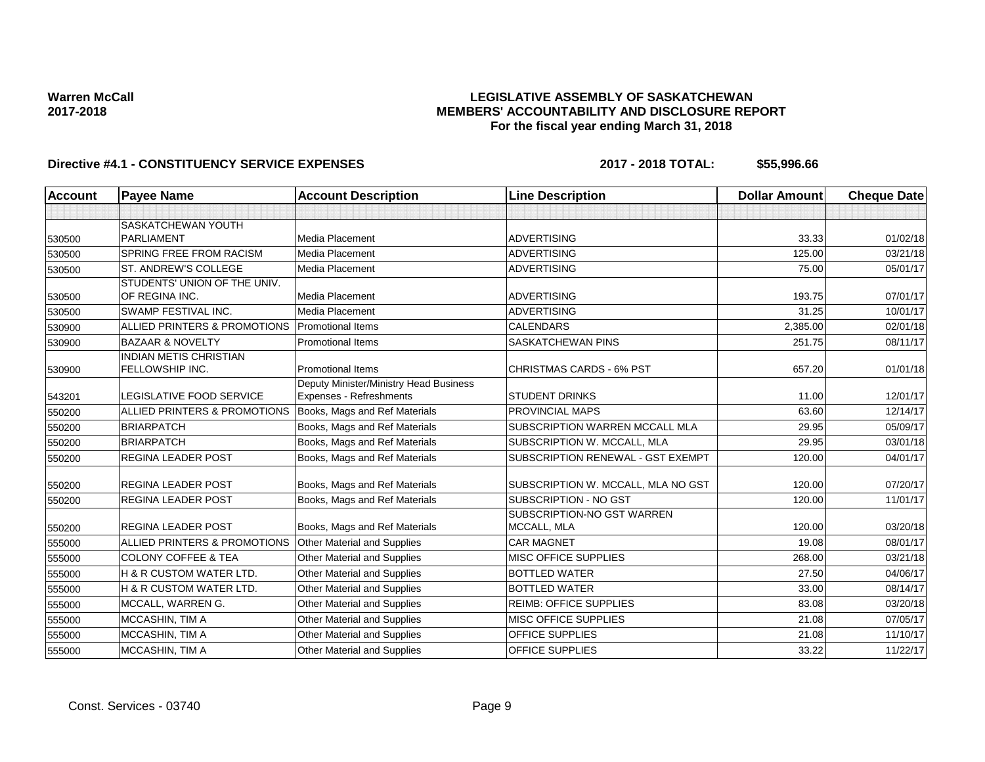## **LEGISLATIVE ASSEMBLY OF SASKATCHEWAN MEMBERS' ACCOUNTABILITY AND DISCLOSURE REPORT For the fiscal year ending March 31, 2018**

| <b>Account</b> | <b>Payee Name</b>                                | <b>Account Description</b>             | <b>Line Description</b>                   | <b>Dollar Amount</b> | <b>Cheque Date</b> |
|----------------|--------------------------------------------------|----------------------------------------|-------------------------------------------|----------------------|--------------------|
|                |                                                  |                                        |                                           |                      |                    |
|                | SASKATCHEWAN YOUTH                               |                                        |                                           |                      |                    |
| 530500         | <b>PARLIAMENT</b>                                | Media Placement                        | <b>ADVERTISING</b>                        | 33.33                | 01/02/18           |
| 530500         | <b>SPRING FREE FROM RACISM</b>                   | Media Placement                        | <b>ADVERTISING</b>                        | 125.00               | 03/21/18           |
| 530500         | ST. ANDREW'S COLLEGE                             | Media Placement                        | <b>ADVERTISING</b>                        | 75.00                | 05/01/17           |
| 530500         | STUDENTS' UNION OF THE UNIV.<br>OF REGINA INC.   | Media Placement                        | <b>ADVERTISING</b>                        | 193.75               | 07/01/17           |
| 530500         | SWAMP FESTIVAL INC.                              | Media Placement                        | <b>ADVERTISING</b>                        | 31.25                | 10/01/17           |
| 530900         | ALLIED PRINTERS & PROMOTIONS Promotional Items   |                                        | <b>CALENDARS</b>                          | 2,385.00             | 02/01/18           |
| 530900         | <b>BAZAAR &amp; NOVELTY</b>                      | Promotional Items                      | SASKATCHEWAN PINS                         | 251.75               | 08/11/17           |
| 530900         | <b>INDIAN METIS CHRISTIAN</b><br>FELLOWSHIP INC. | <b>Promotional Items</b>               | <b>CHRISTMAS CARDS - 6% PST</b>           | 657.20               | 01/01/18           |
|                |                                                  | Deputy Minister/Ministry Head Business |                                           |                      |                    |
| 543201         | <b>LEGISLATIVE FOOD SERVICE</b>                  | Expenses - Refreshments                | <b>STUDENT DRINKS</b>                     | 11.00                | 12/01/17           |
| 550200         | ALLIED PRINTERS & PROMOTIONS                     | Books, Mags and Ref Materials          | PROVINCIAL MAPS                           | 63.60                | 12/14/17           |
| 550200         | <b>BRIARPATCH</b>                                | Books, Mags and Ref Materials          | SUBSCRIPTION WARREN MCCALL MLA            | 29.95                | 05/09/17           |
| 550200         | <b>BRIARPATCH</b>                                | Books, Mags and Ref Materials          | SUBSCRIPTION W. MCCALL, MLA               | 29.95                | 03/01/18           |
| 550200         | <b>REGINA LEADER POST</b>                        | Books, Mags and Ref Materials          | SUBSCRIPTION RENEWAL - GST EXEMPT         | 120.00               | 04/01/17           |
| 550200         | <b>REGINA LEADER POST</b>                        | Books, Mags and Ref Materials          | SUBSCRIPTION W. MCCALL, MLA NO GST        | 120.00               | 07/20/17           |
| 550200         | <b>REGINA LEADER POST</b>                        | Books, Mags and Ref Materials          | SUBSCRIPTION - NO GST                     | 120.00               | 11/01/17           |
| 550200         | <b>REGINA LEADER POST</b>                        | Books, Mags and Ref Materials          | SUBSCRIPTION-NO GST WARREN<br>MCCALL, MLA | 120.00               | 03/20/18           |
| 555000         | ALLIED PRINTERS & PROMOTIONS                     | Other Material and Supplies            | <b>CAR MAGNET</b>                         | 19.08                | 08/01/17           |
| 555000         | <b>COLONY COFFEE &amp; TEA</b>                   | Other Material and Supplies            | <b>MISC OFFICE SUPPLIES</b>               | 268.00               | 03/21/18           |
| 555000         | <b>H &amp; R CUSTOM WATER LTD.</b>               | Other Material and Supplies            | <b>BOTTLED WATER</b>                      | 27.50                | 04/06/17           |
| 555000         | H & R CUSTOM WATER LTD.                          | Other Material and Supplies            | <b>BOTTLED WATER</b>                      | 33.00                | 08/14/17           |
| 555000         | MCCALL, WARREN G.                                | Other Material and Supplies            | <b>REIMB: OFFICE SUPPLIES</b>             | 83.08                | 03/20/18           |
| 555000         | MCCASHIN, TIM A                                  | Other Material and Supplies            | <b>MISC OFFICE SUPPLIES</b>               | 21.08                | 07/05/17           |
| 555000         | MCCASHIN, TIM A                                  | Other Material and Supplies            | <b>OFFICE SUPPLIES</b>                    | 21.08                | 11/10/17           |
| 555000         | MCCASHIN, TIM A                                  | Other Material and Supplies            | <b>OFFICE SUPPLIES</b>                    | 33.22                | 11/22/17           |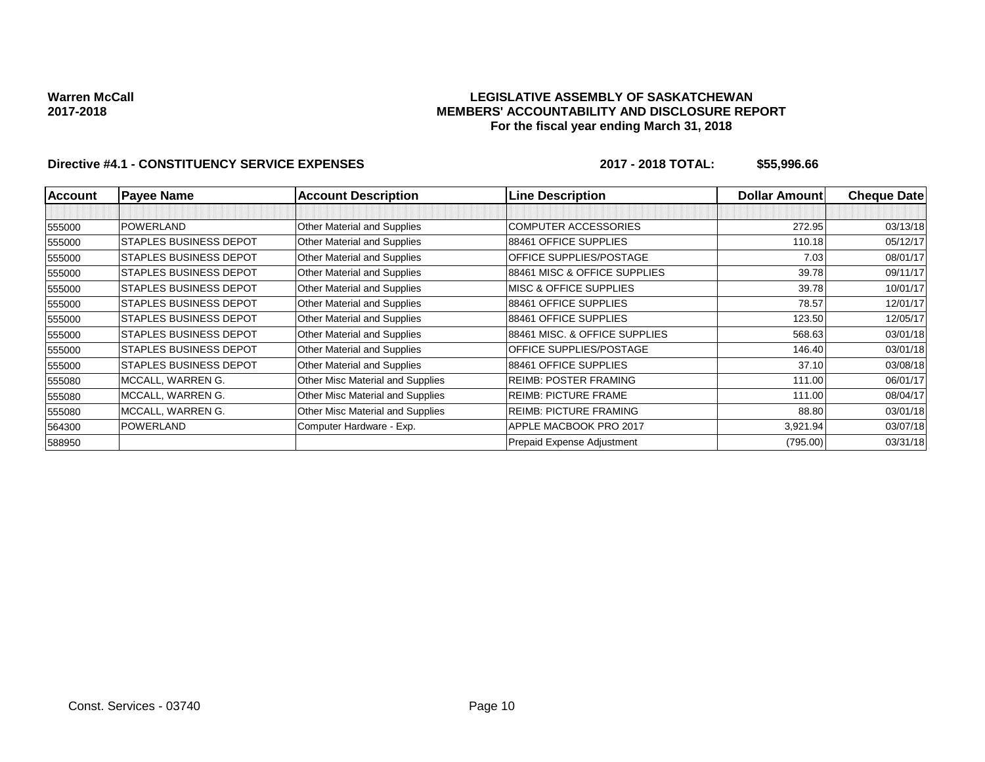## **LEGISLATIVE ASSEMBLY OF SASKATCHEWAN MEMBERS' ACCOUNTABILITY AND DISCLOSURE REPORT For the fiscal year ending March 31, 2018**

| <b>Account</b> | <b>Payee Name</b>             | <b>Account Description</b>       | <b>Line Description</b>       | <b>Dollar Amountl</b> | <b>Cheque Date</b> |
|----------------|-------------------------------|----------------------------------|-------------------------------|-----------------------|--------------------|
|                |                               |                                  |                               |                       |                    |
| 555000         | POWERLAND                     | Other Material and Supplies      | <b>COMPUTER ACCESSORIES</b>   | 272.95                | 03/13/18           |
| 555000         | <b>STAPLES BUSINESS DEPOT</b> | Other Material and Supplies      | 88461 OFFICE SUPPLIES         | 110.18                | 05/12/17           |
| 555000         | <b>STAPLES BUSINESS DEPOT</b> | Other Material and Supplies      | OFFICE SUPPLIES/POSTAGE       | 7.03                  | 08/01/17           |
| 555000         | STAPLES BUSINESS DEPOT        | Other Material and Supplies      | 88461 MISC & OFFICE SUPPLIES  | 39.78                 | 09/11/17           |
| 555000         | STAPLES BUSINESS DEPOT        | Other Material and Supplies      | MISC & OFFICE SUPPLIES        | 39.78                 | 10/01/17           |
| 555000         | <b>STAPLES BUSINESS DEPOT</b> | Other Material and Supplies      | 88461 OFFICE SUPPLIES         | 78.57                 | 12/01/17           |
| 555000         | STAPLES BUSINESS DEPOT        | Other Material and Supplies      | 88461 OFFICE SUPPLIES         | 123.50                | 12/05/17           |
| 555000         | ISTAPLES BUSINESS DEPOT       | Other Material and Supplies      | 88461 MISC, & OFFICE SUPPLIES | 568.63                | 03/01/18           |
| 555000         | <b>STAPLES BUSINESS DEPOT</b> | Other Material and Supplies      | OFFICE SUPPLIES/POSTAGE       | 146.40                | 03/01/18           |
| 555000         | STAPLES BUSINESS DEPOT        | Other Material and Supplies      | 88461 OFFICE SUPPLIES         | 37.10                 | 03/08/18           |
| 555080         | MCCALL, WARREN G.             | Other Misc Material and Supplies | <b>REIMB: POSTER FRAMING</b>  | 111.00                | 06/01/17           |
| 555080         | MCCALL, WARREN G.             | Other Misc Material and Supplies | <b>REIMB: PICTURE FRAME</b>   | 111.00                | 08/04/17           |
| 555080         | MCCALL, WARREN G.             | Other Misc Material and Supplies | <b>REIMB: PICTURE FRAMING</b> | 88.80                 | 03/01/18           |
| 564300         | <b>POWERLAND</b>              | Computer Hardware - Exp.         | APPLE MACBOOK PRO 2017        | 3,921.94              | 03/07/18           |
| 588950         |                               |                                  | Prepaid Expense Adjustment    | (795.00)              | 03/31/18           |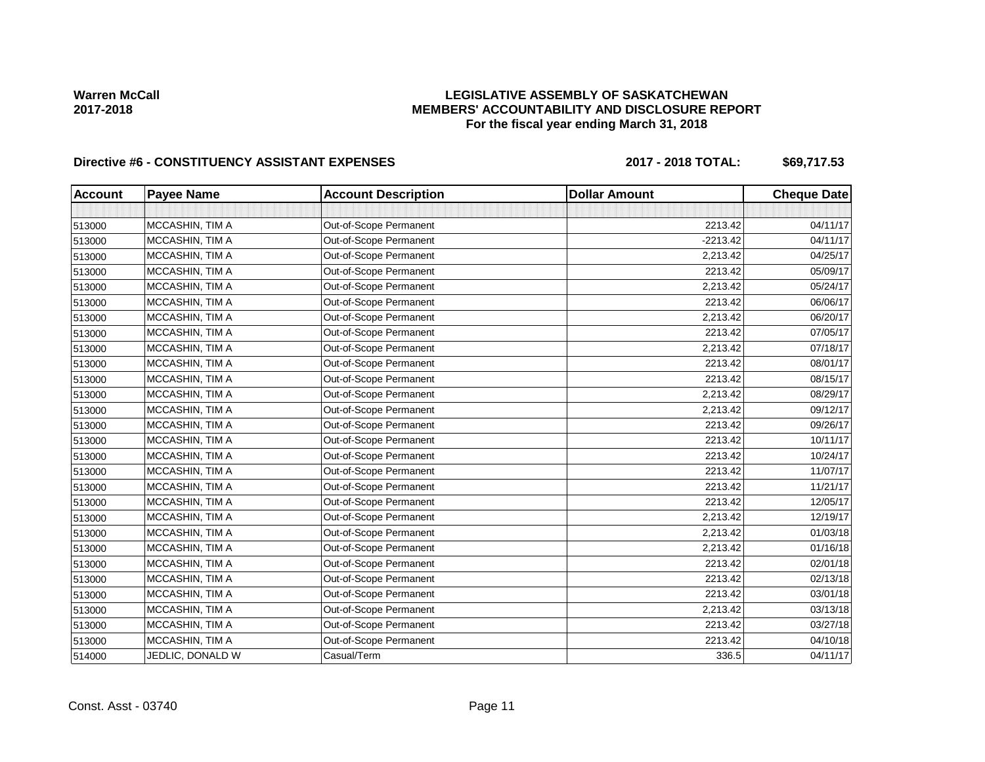## **LEGISLATIVE ASSEMBLY OF SASKATCHEWAN MEMBERS' ACCOUNTABILITY AND DISCLOSURE REPORT For the fiscal year ending March 31, 2018**

# Directive #6 - CONSTITUENCY ASSISTANT EXPENSES 2017 - 2018 TOTAL: \$69,717.53

| <b>Account</b> | <b>Payee Name</b> | <b>Account Description</b> | <b>Dollar Amount</b> | <b>Cheque Date</b> |
|----------------|-------------------|----------------------------|----------------------|--------------------|
|                |                   |                            |                      |                    |
| 513000         | MCCASHIN, TIM A   | Out-of-Scope Permanent     | 2213.42              | 04/11/17           |
| 513000         | MCCASHIN, TIM A   | Out-of-Scope Permanent     | $-2213.42$           | 04/11/17           |
| 513000         | MCCASHIN, TIM A   | Out-of-Scope Permanent     | 2,213.42             | 04/25/17           |
| 513000         | MCCASHIN, TIM A   | Out-of-Scope Permanent     | 2213.42              | 05/09/17           |
| 513000         | MCCASHIN, TIM A   | Out-of-Scope Permanent     | 2,213.42             | 05/24/17           |
| 513000         | MCCASHIN, TIM A   | Out-of-Scope Permanent     | 2213.42              | 06/06/17           |
| 513000         | MCCASHIN, TIM A   | Out-of-Scope Permanent     | 2,213.42             | 06/20/17           |
| 513000         | MCCASHIN, TIM A   | Out-of-Scope Permanent     | 2213.42              | 07/05/17           |
| 513000         | MCCASHIN, TIM A   | Out-of-Scope Permanent     | 2,213.42             | 07/18/17           |
| 513000         | MCCASHIN, TIM A   | Out-of-Scope Permanent     | 2213.42              | 08/01/17           |
| 513000         | MCCASHIN, TIM A   | Out-of-Scope Permanent     | 2213.42              | 08/15/17           |
| 513000         | MCCASHIN, TIM A   | Out-of-Scope Permanent     | 2,213.42             | 08/29/17           |
| 513000         | MCCASHIN, TIM A   | Out-of-Scope Permanent     | 2,213.42             | 09/12/17           |
| 513000         | MCCASHIN, TIM A   | Out-of-Scope Permanent     | 2213.42              | 09/26/17           |
| 513000         | MCCASHIN, TIM A   | Out-of-Scope Permanent     | 2213.42              | 10/11/17           |
| 513000         | MCCASHIN, TIM A   | Out-of-Scope Permanent     | 2213.42              | 10/24/17           |
| 513000         | MCCASHIN, TIM A   | Out-of-Scope Permanent     | 2213.42              | 11/07/17           |
| 513000         | MCCASHIN, TIM A   | Out-of-Scope Permanent     | 2213.42              | 11/21/17           |
| 513000         | MCCASHIN, TIM A   | Out-of-Scope Permanent     | 2213.42              | 12/05/17           |
| 513000         | MCCASHIN, TIM A   | Out-of-Scope Permanent     | 2,213.42             | 12/19/17           |
| 513000         | MCCASHIN, TIM A   | Out-of-Scope Permanent     | 2,213.42             | 01/03/18           |
| 513000         | MCCASHIN, TIM A   | Out-of-Scope Permanent     | 2,213.42             | 01/16/18           |
| 513000         | MCCASHIN, TIM A   | Out-of-Scope Permanent     | 2213.42              | 02/01/18           |
| 513000         | MCCASHIN, TIM A   | Out-of-Scope Permanent     | 2213.42              | 02/13/18           |
| 513000         | MCCASHIN, TIM A   | Out-of-Scope Permanent     | 2213.42              | 03/01/18           |
| 513000         | MCCASHIN, TIM A   | Out-of-Scope Permanent     | 2,213.42             | 03/13/18           |
| 513000         | MCCASHIN, TIM A   | Out-of-Scope Permanent     | 2213.42              | 03/27/18           |
| 513000         | MCCASHIN, TIM A   | Out-of-Scope Permanent     | 2213.42              | 04/10/18           |
| 514000         | JEDLIC, DONALD W  | Casual/Term                | 336.5                | 04/11/17           |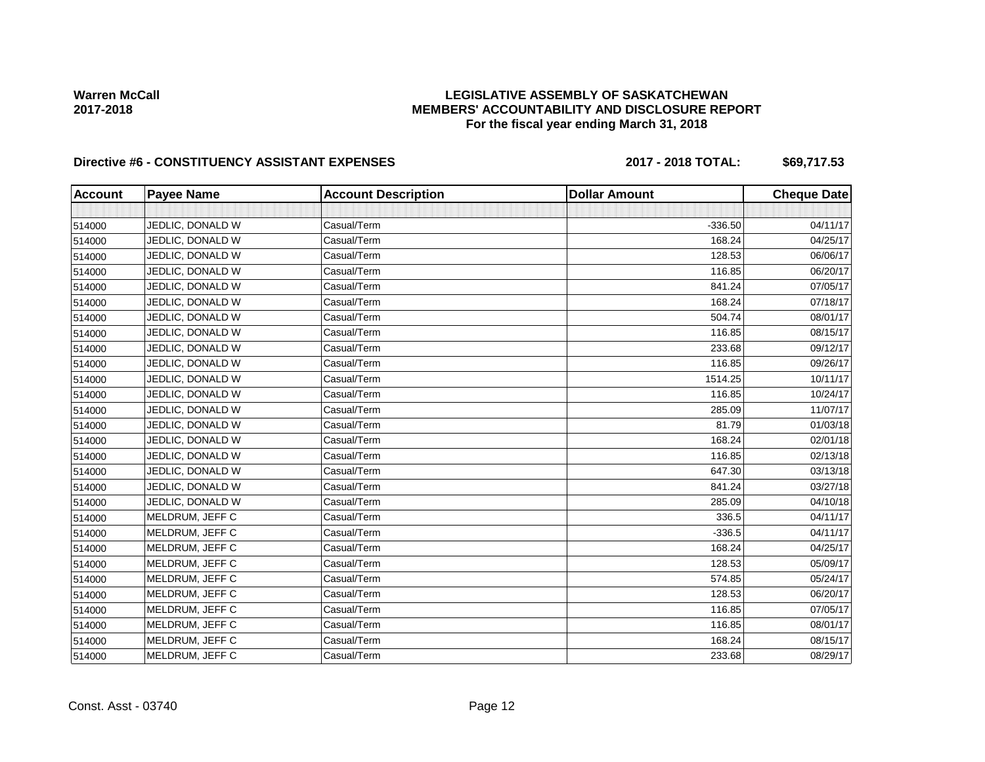## **LEGISLATIVE ASSEMBLY OF SASKATCHEWAN MEMBERS' ACCOUNTABILITY AND DISCLOSURE REPORT For the fiscal year ending March 31, 2018**

# Directive #6 - CONSTITUENCY ASSISTANT EXPENSES 2017 - 2018 TOTAL: \$69,717.53

| <b>Account</b> | <b>Payee Name</b> | <b>Account Description</b> | <b>Dollar Amount</b> | <b>Cheque Date</b> |
|----------------|-------------------|----------------------------|----------------------|--------------------|
|                |                   |                            |                      |                    |
| 514000         | JEDLIC, DONALD W  | Casual/Term                | $-336.50$            | 04/11/17           |
| 514000         | JEDLIC, DONALD W  | Casual/Term                | 168.24               | 04/25/17           |
| 514000         | JEDLIC, DONALD W  | Casual/Term                | 128.53               | 06/06/17           |
| 514000         | JEDLIC, DONALD W  | Casual/Term                | 116.85               | 06/20/17           |
| 514000         | JEDLIC, DONALD W  | Casual/Term                | 841.24               | 07/05/17           |
| 514000         | JEDLIC, DONALD W  | Casual/Term                | 168.24               | 07/18/17           |
| 514000         | JEDLIC, DONALD W  | Casual/Term                | 504.74               | 08/01/17           |
| 514000         | JEDLIC, DONALD W  | Casual/Term                | 116.85               | 08/15/17           |
| 514000         | JEDLIC, DONALD W  | Casual/Term                | 233.68               | 09/12/17           |
| 514000         | JEDLIC, DONALD W  | Casual/Term                | 116.85               | 09/26/17           |
| 514000         | JEDLIC, DONALD W  | Casual/Term                | 1514.25              | 10/11/17           |
| 514000         | JEDLIC, DONALD W  | Casual/Term                | 116.85               | 10/24/17           |
| 514000         | JEDLIC, DONALD W  | Casual/Term                | 285.09               | 11/07/17           |
| 514000         | JEDLIC, DONALD W  | Casual/Term                | 81.79                | 01/03/18           |
| 514000         | JEDLIC, DONALD W  | Casual/Term                | 168.24               | 02/01/18           |
| 514000         | JEDLIC, DONALD W  | Casual/Term                | 116.85               | 02/13/18           |
| 514000         | JEDLIC, DONALD W  | Casual/Term                | 647.30               | 03/13/18           |
| 514000         | JEDLIC, DONALD W  | Casual/Term                | 841.24               | 03/27/18           |
| 514000         | JEDLIC, DONALD W  | Casual/Term                | 285.09               | 04/10/18           |
| 514000         | MELDRUM, JEFF C   | Casual/Term                | 336.5                | 04/11/17           |
| 514000         | MELDRUM, JEFF C   | Casual/Term                | $-336.5$             | 04/11/17           |
| 514000         | MELDRUM, JEFF C   | Casual/Term                | 168.24               | 04/25/17           |
| 514000         | MELDRUM, JEFF C   | Casual/Term                | 128.53               | 05/09/17           |
| 514000         | MELDRUM, JEFF C   | Casual/Term                | 574.85               | 05/24/17           |
| 514000         | MELDRUM, JEFF C   | Casual/Term                | 128.53               | 06/20/17           |
| 514000         | MELDRUM, JEFF C   | Casual/Term                | 116.85               | 07/05/17           |
| 514000         | MELDRUM, JEFF C   | Casual/Term                | 116.85               | 08/01/17           |
| 514000         | MELDRUM, JEFF C   | Casual/Term                | 168.24               | 08/15/17           |
| 514000         | MELDRUM, JEFF C   | Casual/Term                | 233.68               | 08/29/17           |